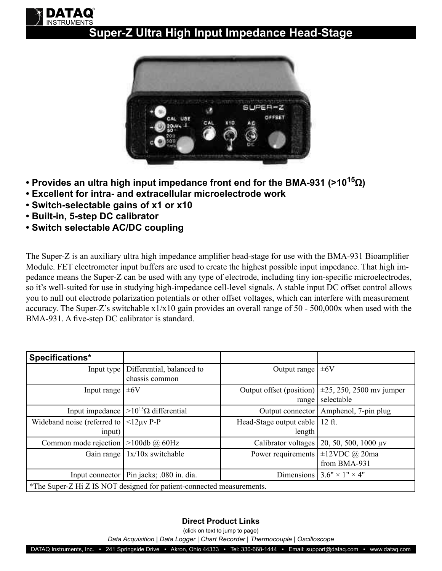## **Super-Z Ultra High Input Impedance Head-Stage**



- **Provides an ultra high input impedance front end for the BMA-931 (>1015Ω)**
- **Excellent for intra- and extracellular microelectrode work**
- **Switch-selectable gains of x1 or x10**
- **Built-in, 5-step DC calibrator**

**INSTRUMENTS** DATAQ

**• Switch selectable AC/DC coupling**

The Super-Z is an auxiliary ultra high impedance amplifier head-stage for use with the BMA-931 Bioamplifier Module. FET electrometer input buffers are used to create the highest possible input impedance. That high impedance means the Super-Z can be used with any type of electrode, including tiny ion-specific microelectrodes, so it's well-suited for use in studying high-impedance cell-level signals. A stable input DC offset control allows you to null out electrode polarization potentials or other offset voltages, which can interfere with measurement accuracy. The Super-Z's switchable  $x1/x10$  gain provides an overall range of 50 - 500,000x when used with the BMA-931. A five-step DC calibrator is standard.

| Specifications*                                                       |                                            |                          |                                |  |
|-----------------------------------------------------------------------|--------------------------------------------|--------------------------|--------------------------------|--|
| Input type                                                            | Differential, balanced to                  | Output range             | $\pm 6V$                       |  |
|                                                                       | chassis common                             |                          |                                |  |
| Input range                                                           | $\pm 6V$                                   | Output offset (position) | $\pm 25$ , 250, 2500 mv jumper |  |
|                                                                       |                                            | range                    | selectable                     |  |
| Input impedance                                                       | $>10^{15}$ Ω differential                  | Output connector         | Amphenol, 7-pin plug           |  |
| Wideband noise (referred to                                           | $<$ 12uv P-P                               | Head-Stage output cable  | $12$ ft.                       |  |
| input)                                                                |                                            | length                   |                                |  |
| Common mode rejection                                                 | $>100db$ @ 60Hz                            | Calibrator voltages      | 20, 50, 500, 1000 $\mu$ v      |  |
| Gain range                                                            | $1x/10x$ switchable                        | Power requirements       | $\pm 12$ VDC @ 20ma            |  |
|                                                                       |                                            |                          | from BMA-931                   |  |
|                                                                       | Input connector   Pin jacks; .080 in. dia. | Dimensions               | $3.6" \times 1" \times 4"$     |  |
| *The Super-Z Hi Z IS NOT designed for patient-connected measurements. |                                            |                          |                                |  |

## **Direct Product Links**

(click on text to jump to page)

*[Data Acquisition](http://www.dataq.com) | [Data Logger](http://www.dataq.com/data-logger/data-logger.html) | [Chart Recorder |](http://www.dataq.com/c_cr) [Thermocouple](http://www.dataq.com/products/hardware/di1000tc.htm) | [Oscilloscope](http://www.dataq.com/products/hardware/oscilloscope.htm)*